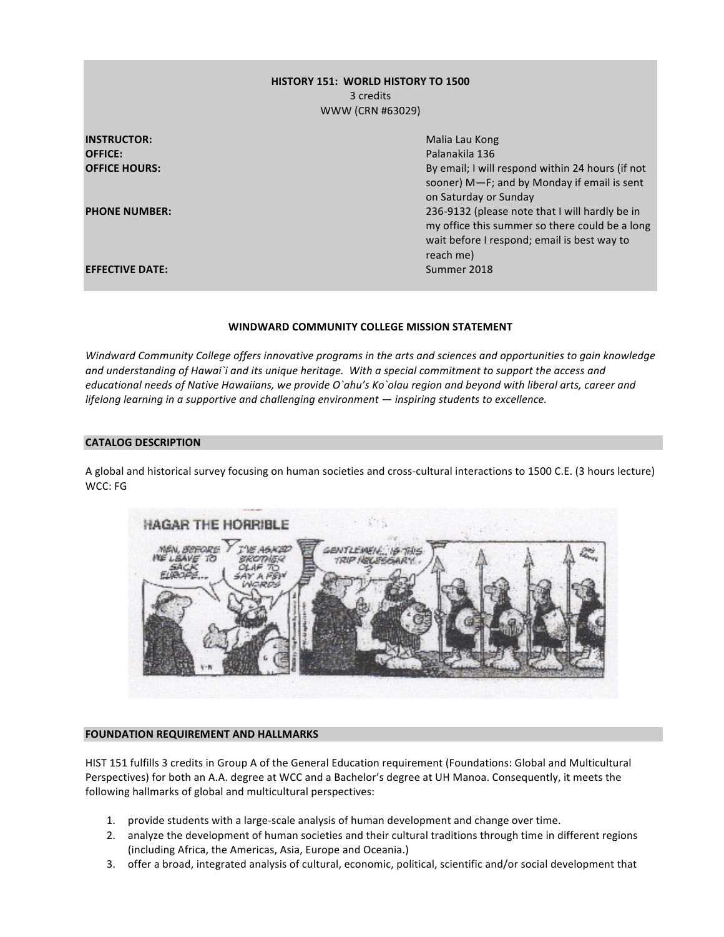# **HISTORY 151: WORLD HISTORY TO 1500** 3 credits WWW (CRN #63029)

| <b>INSTRUCTOR:</b>     | Malia Lau Kong                                                                                                                                               |
|------------------------|--------------------------------------------------------------------------------------------------------------------------------------------------------------|
| <b>OFFICE:</b>         | Palanakila 136                                                                                                                                               |
| <b>OFFICE HOURS:</b>   | By email; I will respond within 24 hours (if not<br>sooner) M-F; and by Monday if email is sent<br>on Saturday or Sunday                                     |
| <b>PHONE NUMBER:</b>   | 236-9132 (please note that I will hardly be in<br>my office this summer so there could be a long<br>wait before I respond; email is best way to<br>reach me) |
| <b>EFFECTIVE DATE:</b> | Summer 2018                                                                                                                                                  |

#### WINDWARD COMMUNITY COLLEGE MISSION STATEMENT

*Windward Community College offers innovative programs in the arts and sciences and opportunities to gain knowledge* and understanding of Hawai`i and its unique heritage. With a special commitment to support the access and *educational needs of Native Hawaiians, we provide O`ahu's Ko`olau region and beyond with liberal arts, career and lifelong learning in a supportive and challenging environment* — *inspiring students to excellence.* 

#### **CATALOG DESCRIPTION**

A global and historical survey focusing on human societies and cross-cultural interactions to 1500 C.E. (3 hours lecture) WCC: FG



#### **FOUNDATION REQUIREMENT AND HALLMARKS**

HIST 151 fulfills 3 credits in Group A of the General Education requirement (Foundations: Global and Multicultural Perspectives) for both an A.A. degree at WCC and a Bachelor's degree at UH Manoa. Consequently, it meets the following hallmarks of global and multicultural perspectives:

- 1. provide students with a large-scale analysis of human development and change over time.
- 2. analyze the development of human societies and their cultural traditions through time in different regions (including Africa, the Americas, Asia, Europe and Oceania.)
- 3. offer a broad, integrated analysis of cultural, economic, political, scientific and/or social development that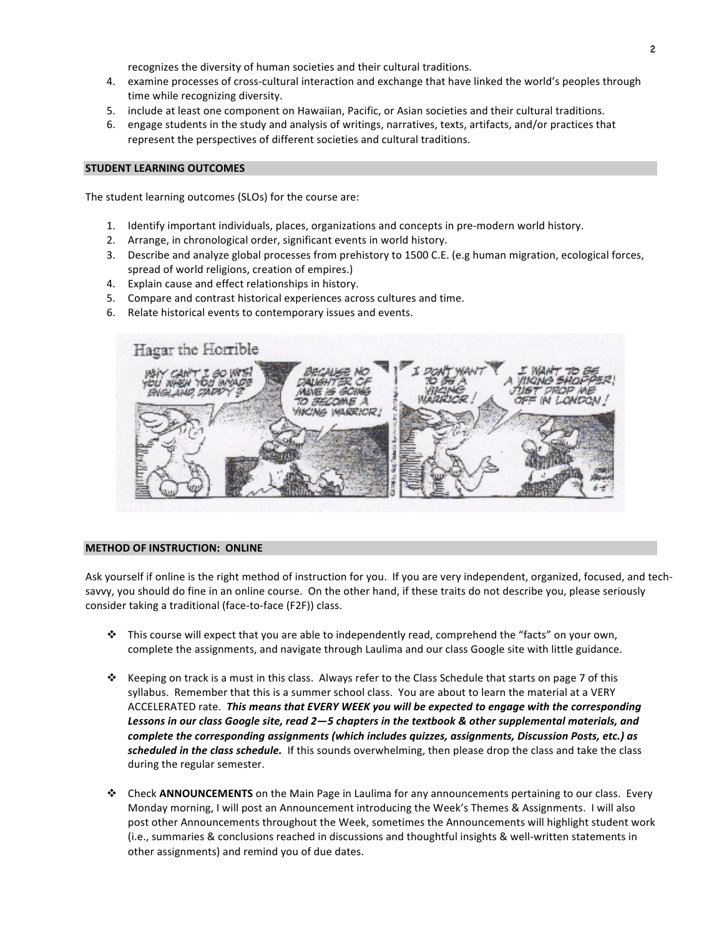recognizes the diversity of human societies and their cultural traditions.

- 4. examine processes of cross-cultural interaction and exchange that have linked the world's peoples through time while recognizing diversity.
- 5. include at least one component on Hawaiian, Pacific, or Asian societies and their cultural traditions.
- 6. engage students in the study and analysis of writings, narratives, texts, artifacts, and/or practices that represent the perspectives of different societies and cultural traditions.

#### **STUDENT LEARNING OUTCOMES**

The student learning outcomes (SLOs) for the course are:

- 1. Identify important individuals, places, organizations and concepts in pre-modern world history.
- 2. Arrange, in chronological order, significant events in world history.
- 3. Describe and analyze global processes from prehistory to 1500 C.E. (e.g human migration, ecological forces, spread of world religions, creation of empires.)
- 4. Explain cause and effect relationships in history.
- 5. Compare and contrast historical experiences across cultures and time.
- 6. Relate historical events to contemporary issues and events.



#### **METHOD OF INSTRUCTION: ONLINE**

Ask yourself if online is the right method of instruction for you. If you are very independent, organized, focused, and techsavvy, you should do fine in an online course. On the other hand, if these traits do not describe you, please seriously consider taking a traditional (face-to-face (F2F)) class.

- $\cdot$  This course will expect that you are able to independently read, comprehend the "facts" on your own, complete the assignments, and navigate through Laulima and our class Google site with little guidance.
- $\dots$  Keeping on track is a must in this class. Always refer to the Class Schedule that starts on page 7 of this syllabus. Remember that this is a summer school class. You are about to learn the material at a VERY ACCELERATED rate. This means that EVERY WEEK you will be expected to engage with the corresponding Lessons in our class Google site, read 2-5 chapters in the textbook & other supplemental materials, and *complete the corresponding assignments (which includes quizzes, assignments, Discussion Posts, etc.) as*  scheduled in the class schedule. If this sounds overwhelming, then please drop the class and take the class during the regular semester.
- \* Check **ANNOUNCEMENTS** on the Main Page in Laulima for any announcements pertaining to our class. Every Monday morning, I will post an Announcement introducing the Week's Themes & Assignments. I will also post other Announcements throughout the Week, sometimes the Announcements will highlight student work (i.e., summaries & conclusions reached in discussions and thoughtful insights & well-written statements in other assignments) and remind you of due dates.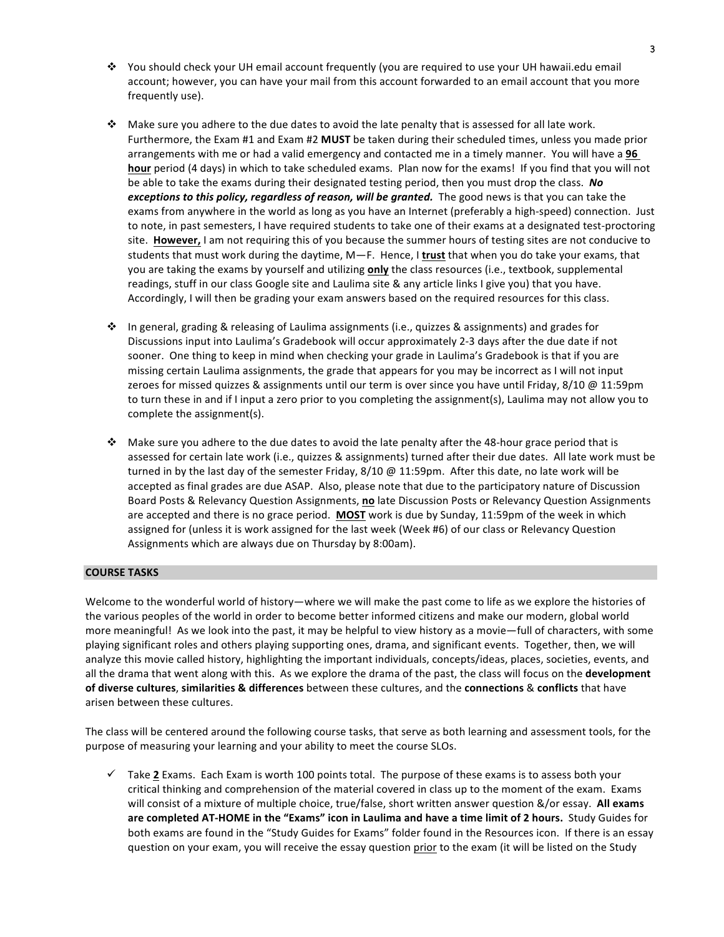- $\cdot$  You should check your UH email account frequently (you are required to use your UH hawaii.edu email account; however, you can have your mail from this account forwarded to an email account that you more frequently use).
- $\cdot$  Make sure you adhere to the due dates to avoid the late penalty that is assessed for all late work. Furthermore, the Exam #1 and Exam #2 MUST be taken during their scheduled times, unless you made prior arrangements with me or had a valid emergency and contacted me in a timely manner. You will have a 96 **hour** period (4 days) in which to take scheduled exams. Plan now for the exams! If you find that you will not be able to take the exams during their designated testing period, then you must drop the class. No *exceptions to this policy, regardless of reason, will be granted.* The good news is that you can take the exams from anywhere in the world as long as you have an Internet (preferably a high-speed) connection. Just to note, in past semesters, I have required students to take one of their exams at a designated test-proctoring site. However, I am not requiring this of you because the summer hours of testing sites are not conducive to students that must work during the daytime, M—F. Hence, I trust that when you do take your exams, that you are taking the exams by yourself and utilizing **only** the class resources (i.e., textbook, supplemental readings, stuff in our class Google site and Laulima site & any article links I give you) that you have. Accordingly, I will then be grading your exam answers based on the required resources for this class.
- $\cdot \cdot$  In general, grading & releasing of Laulima assignments (i.e., quizzes & assignments) and grades for Discussions input into Laulima's Gradebook will occur approximately 2-3 days after the due date if not sooner. One thing to keep in mind when checking your grade in Laulima's Gradebook is that if you are missing certain Laulima assignments, the grade that appears for you may be incorrect as I will not input zeroes for missed quizzes & assignments until our term is over since you have until Friday, 8/10 @ 11:59pm to turn these in and if I input a zero prior to you completing the assignment(s), Laulima may not allow you to complete the assignment(s).
- $\cdot$  Make sure you adhere to the due dates to avoid the late penalty after the 48-hour grace period that is assessed for certain late work (i.e., quizzes & assignments) turned after their due dates. All late work must be turned in by the last day of the semester Friday,  $8/10 \text{ } @$  11:59pm. After this date, no late work will be accepted as final grades are due ASAP. Also, please note that due to the participatory nature of Discussion Board Posts & Relevancy Question Assignments, no late Discussion Posts or Relevancy Question Assignments are accepted and there is no grace period. MOST work is due by Sunday, 11:59pm of the week in which assigned for (unless it is work assigned for the last week (Week #6) of our class or Relevancy Question Assignments which are always due on Thursday by 8:00am).

# **COURSE TASKS**

Welcome to the wonderful world of history—where we will make the past come to life as we explore the histories of the various peoples of the world in order to become better informed citizens and make our modern, global world more meaningful! As we look into the past, it may be helpful to view history as a movie—full of characters, with some playing significant roles and others playing supporting ones, drama, and significant events. Together, then, we will analyze this movie called history, highlighting the important individuals, concepts/ideas, places, societies, events, and all the drama that went along with this. As we explore the drama of the past, the class will focus on the **development of diverse cultures, similarities & differences** between these cultures, and the **connections** & conflicts that have arisen between these cultures.

The class will be centered around the following course tasks, that serve as both learning and assessment tools, for the purpose of measuring your learning and your ability to meet the course SLOs.

 $\checkmark$  Take 2 Exams. Each Exam is worth 100 points total. The purpose of these exams is to assess both your critical thinking and comprehension of the material covered in class up to the moment of the exam. Exams will consist of a mixture of multiple choice, true/false, short written answer question &/or essay. All exams are completed AT-HOME in the "Exams" icon in Laulima and have a time limit of 2 hours. Study Guides for both exams are found in the "Study Guides for Exams" folder found in the Resources icon. If there is an essay question on your exam, you will receive the essay question prior to the exam (it will be listed on the Study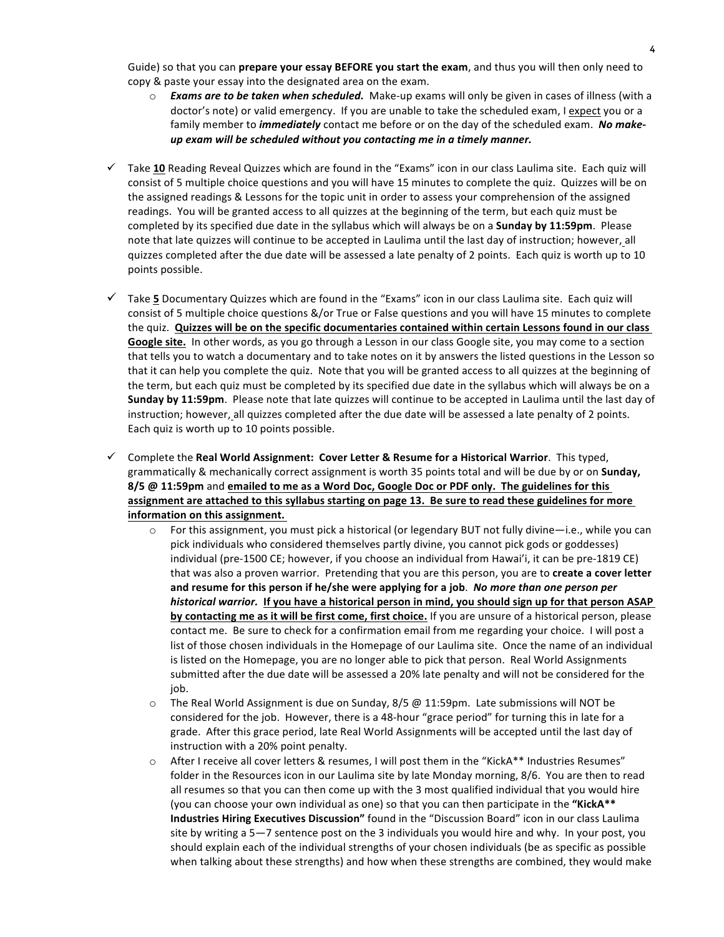Guide) so that you can **prepare your essay BEFORE you start the exam**, and thus you will then only need to copy & paste your essay into the designated area on the exam.

- $\circ$  **Exams are to be taken when scheduled.** Make-up exams will only be given in cases of illness (with a doctor's note) or valid emergency. If you are unable to take the scheduled exam, I expect you or a family member to *immediately* contact me before or on the day of the scheduled exam. No makeup exam will be scheduled without you contacting me in a timely manner.
- $\checkmark$  Take 10 Reading Reveal Quizzes which are found in the "Exams" icon in our class Laulima site. Each quiz will consist of 5 multiple choice questions and you will have 15 minutes to complete the quiz. Quizzes will be on the assigned readings & Lessons for the topic unit in order to assess your comprehension of the assigned readings. You will be granted access to all quizzes at the beginning of the term, but each quiz must be completed by its specified due date in the syllabus which will always be on a **Sunday by 11:59pm**. Please note that late quizzes will continue to be accepted in Laulima until the last day of instruction; however, all quizzes completed after the due date will be assessed a late penalty of 2 points. Each quiz is worth up to 10 points possible.
- $\checkmark$  Take 5 Documentary Quizzes which are found in the "Exams" icon in our class Laulima site. Each quiz will consist of 5 multiple choice questions &/or True or False questions and you will have 15 minutes to complete the quiz. Quizzes will be on the specific documentaries contained within certain Lessons found in our class Google site. In other words, as you go through a Lesson in our class Google site, you may come to a section that tells you to watch a documentary and to take notes on it by answers the listed questions in the Lesson so that it can help you complete the quiz. Note that you will be granted access to all quizzes at the beginning of the term, but each quiz must be completed by its specified due date in the syllabus which will always be on a **Sunday by 11:59pm**. Please note that late quizzes will continue to be accepted in Laulima until the last day of instruction; however, all quizzes completed after the due date will be assessed a late penalty of 2 points. Each quiz is worth up to 10 points possible.
- $\checkmark$  Complete the **Real World Assignment: Cover Letter & Resume for a Historical Warrior**. This typed, grammatically & mechanically correct assignment is worth 35 points total and will be due by or on **Sunday,** 8/5 @ 11:59pm and emailed to me as a Word Doc, Google Doc or PDF only. The guidelines for this assignment are attached to this syllabus starting on page 13. Be sure to read these guidelines for more **information on this assignment.** 
	- $\circ$  For this assignment, you must pick a historical (or legendary BUT not fully divine—i.e., while you can pick individuals who considered themselves partly divine, you cannot pick gods or goddesses) individual (pre-1500 CE; however, if you choose an individual from Hawai'i, it can be pre-1819 CE) that was also a proven warrior. Pretending that you are this person, you are to create a cover letter and resume for this person if he/she were applying for a job. No more than one person per *historical warrior.* If you have a historical person in mind, you should sign up for that person ASAP **by contacting me as it will be first come, first choice.** If you are unsure of a historical person, please contact me. Be sure to check for a confirmation email from me regarding your choice. I will post a list of those chosen individuals in the Homepage of our Laulima site. Once the name of an individual is listed on the Homepage, you are no longer able to pick that person. Real World Assignments submitted after the due date will be assessed a 20% late penalty and will not be considered for the job.
	- $\circ$  The Real World Assignment is due on Sunday, 8/5 @ 11:59pm. Late submissions will NOT be considered for the job. However, there is a 48-hour "grace period" for turning this in late for a grade. After this grace period, late Real World Assignments will be accepted until the last day of instruction with a 20% point penalty.
	- After I receive all cover letters & resumes, I will post them in the "KickA\*\* Industries Resumes" folder in the Resources icon in our Laulima site by late Monday morning, 8/6. You are then to read all resumes so that you can then come up with the 3 most qualified individual that you would hire (you can choose your own individual as one) so that you can then participate in the "**KickA\*\* Industries Hiring Executives Discussion"** found in the "Discussion Board" icon in our class Laulima site by writing a 5—7 sentence post on the 3 individuals you would hire and why. In your post, you should explain each of the individual strengths of your chosen individuals (be as specific as possible when talking about these strengths) and how when these strengths are combined, they would make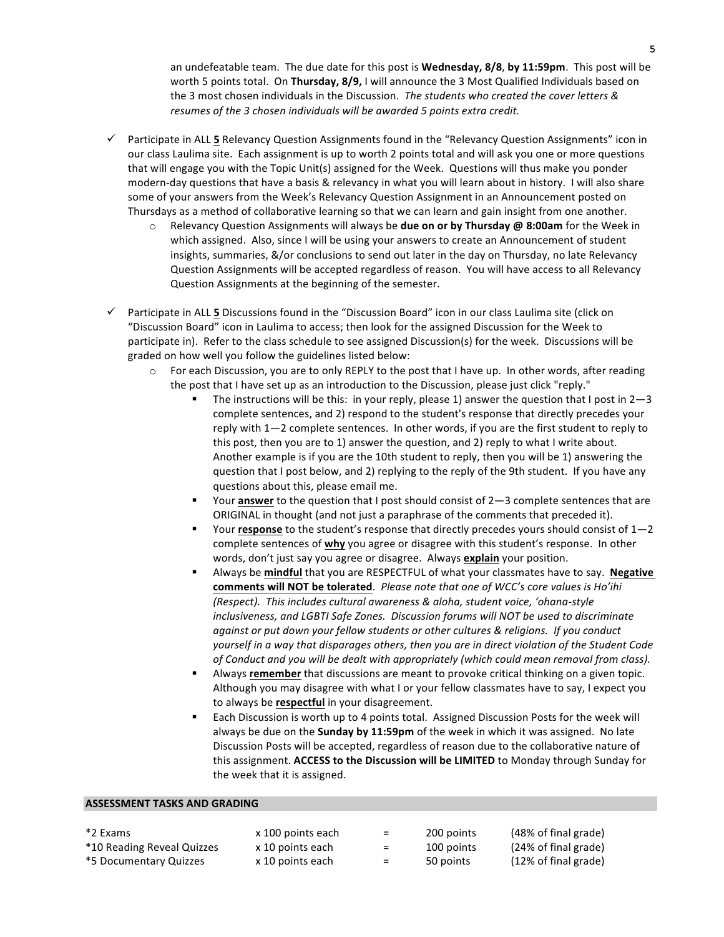an undefeatable team. The due date for this post is **Wednesday, 8/8, by 11:59pm**. This post will be worth 5 points total. On Thursday, 8/9, I will announce the 3 Most Qualified Individuals based on the 3 most chosen individuals in the Discussion. The students who created the cover letters & *resumes of the 3 chosen individuals will be awarded 5 points extra credit.* 

- $\checkmark$  Participate in ALL 5 Relevancy Question Assignments found in the "Relevancy Question Assignments" icon in our class Laulima site. Each assignment is up to worth 2 points total and will ask you one or more questions that will engage you with the Topic Unit(s) assigned for the Week. Questions will thus make you ponder modern-day questions that have a basis & relevancy in what you will learn about in history. I will also share some of your answers from the Week's Relevancy Question Assignment in an Announcement posted on Thursdays as a method of collaborative learning so that we can learn and gain insight from one another.
	- o Relevancy Question Assignments will always be **due on or by Thursday @ 8:00am** for the Week in which assigned. Also, since I will be using your answers to create an Announcement of student insights, summaries, &/or conclusions to send out later in the day on Thursday, no late Relevancy Question Assignments will be accepted regardless of reason. You will have access to all Relevancy Question Assignments at the beginning of the semester.
- $\checkmark$  Participate in ALL 5 Discussions found in the "Discussion Board" icon in our class Laulima site (click on "Discussion Board" icon in Laulima to access; then look for the assigned Discussion for the Week to participate in). Refer to the class schedule to see assigned Discussion(s) for the week. Discussions will be graded on how well you follow the guidelines listed below:
	- $\circ$  For each Discussion, you are to only REPLY to the post that I have up. In other words, after reading the post that I have set up as an introduction to the Discussion, please just click "reply."
		- The instructions will be this: in your reply, please 1) answer the question that I post in  $2-3$ complete sentences, and 2) respond to the student's response that directly precedes your reply with 1-2 complete sentences. In other words, if you are the first student to reply to this post, then you are to 1) answer the question, and 2) reply to what I write about. Another example is if you are the 10th student to reply, then you will be 1) answering the question that I post below, and 2) replying to the reply of the 9th student. If you have any questions about this, please email me.
		- Your **answer** to the question that I post should consist of 2-3 complete sentences that are ORIGINAL in thought (and not just a paraphrase of the comments that preceded it).
		- Your **response** to the student's response that directly precedes yours should consist of  $1-2$ complete sentences of **why** you agree or disagree with this student's response. In other words, don't just say you agree or disagree. Always **explain** your position.
		- Always be **mindful** that you are RESPECTFUL of what your classmates have to say. Negative comments will NOT be tolerated. Please note that one of WCC's core values is Ho'ihi *(Respect).* This includes cultural awareness & aloha, student voice, 'ohana-style inclusiveness, and LGBTI Safe Zones. Discussion forums will NOT be used to discriminate *against or put down your fellow students or other cultures & religions. If you conduct* yourself in a way that disparages others, then you are in direct violation of the Student Code *of Conduct and you will be dealt with appropriately (which could mean removal from class).*
		- Always **remember** that discussions are meant to provoke critical thinking on a given topic. Although you may disagree with what I or your fellow classmates have to say, I expect you to always be **respectful** in your disagreement.
		- Each Discussion is worth up to 4 points total. Assigned Discussion Posts for the week will always be due on the **Sunday by 11:59pm** of the week in which it was assigned. No late Discussion Posts will be accepted, regardless of reason due to the collaborative nature of this assignment. ACCESS to the Discussion will be LIMITED to Monday through Sunday for the week that it is assigned.

#### **ASSESSMENT TASKS AND GRADING**

- \*10 Reading Reveal Quizzes x 10 points each  $\qquad =$  100 points (24% of final grade)
	-
- \*5 Documentary Quizzes  $\times 10$  points each  $\times$  50 points (12% of final grade)
- 
- 
- 
- $*2$  Exams  $\times 100$  points each  $=$  200 points (48% of final grade)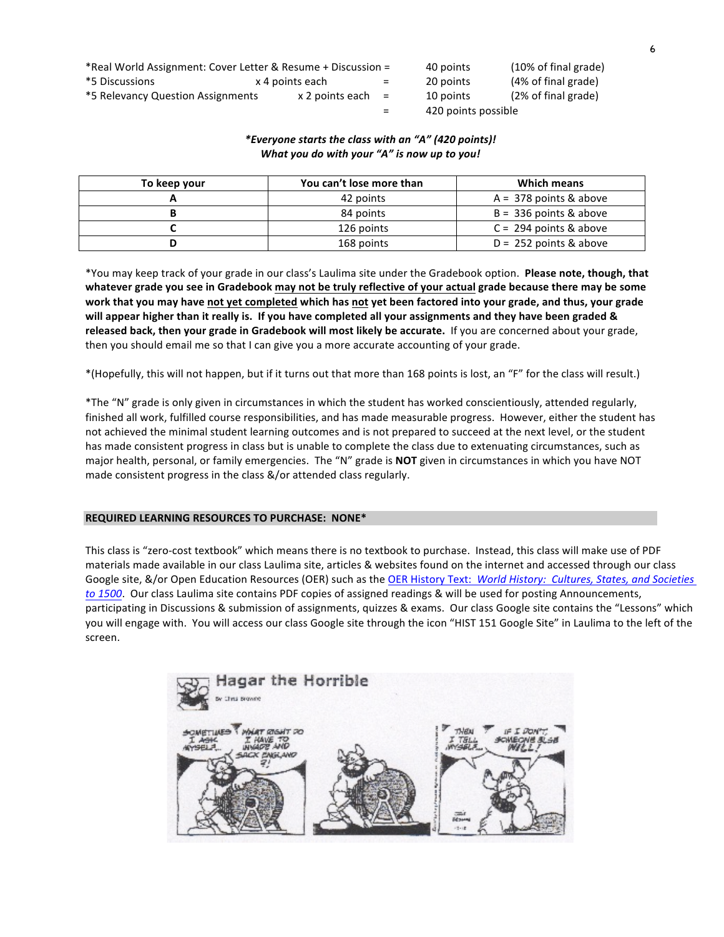| *Real World Assignment: Cover Letter & Resume + Discussion = |                       |         | 40 points           | $(10\% \text{ of final grade})$ |
|--------------------------------------------------------------|-----------------------|---------|---------------------|---------------------------------|
| *5 Discussions                                               | x 4 points each       | $=$ $-$ | 20 points           | (4% of final grade)             |
| *5 Relevancy Question Assignments                            | $x$ 2 points each $=$ |         | 10 points           | (2% of final grade)             |
|                                                              |                       | $=$     | 420 points possible |                                 |

# *\*Everyone starts the class with an "A" (420 points)! What you do with your "A" is now up to you!*

| To keep your | You can't lose more than | Which means              |
|--------------|--------------------------|--------------------------|
|              | 42 points                | $A = 378$ points & above |
|              | 84 points                | $B = 336$ points & above |
|              | 126 points               | $C = 294$ points & above |
|              | 168 points               | $D = 252$ points & above |

\*You may keep track of your grade in our class's Laulima site under the Gradebook option. Please note, though, that whatever grade you see in Gradebook may not be truly reflective of your actual grade because there may be some work that you may have not yet completed which has not yet been factored into your grade, and thus, your grade will appear higher than it really is. If you have completed all your assignments and they have been graded & released back, then your grade in Gradebook will most likely be accurate. If you are concerned about your grade, then you should email me so that I can give you a more accurate accounting of your grade.

\*(Hopefully, this will not happen, but if it turns out that more than 168 points is lost, an "F" for the class will result.)

\*The "N" grade is only given in circumstances in which the student has worked conscientiously, attended regularly, finished all work, fulfilled course responsibilities, and has made measurable progress. However, either the student has not achieved the minimal student learning outcomes and is not prepared to succeed at the next level, or the student has made consistent progress in class but is unable to complete the class due to extenuating circumstances, such as major health, personal, or family emergencies. The "N" grade is **NOT** given in circumstances in which you have NOT made consistent progress in the class &/or attended class regularly.

#### **REQUIRED LEARNING RESOURCES TO PURCHASE: NONE\***

This class is "zero-cost textbook" which means there is no textbook to purchase. Instead, this class will make use of PDF materials made available in our class Laulima site, articles & websites found on the internet and accessed through our class Google site, &/or Open Education Resources (OER) such as the OER History Text: World History: Cultures, States, and Societies *to* 1500. Our class Laulima site contains PDF copies of assigned readings & will be used for posting Announcements, participating in Discussions & submission of assignments, quizzes & exams. Our class Google site contains the "Lessons" which you will engage with. You will access our class Google site through the icon "HIST 151 Google Site" in Laulima to the left of the screen.

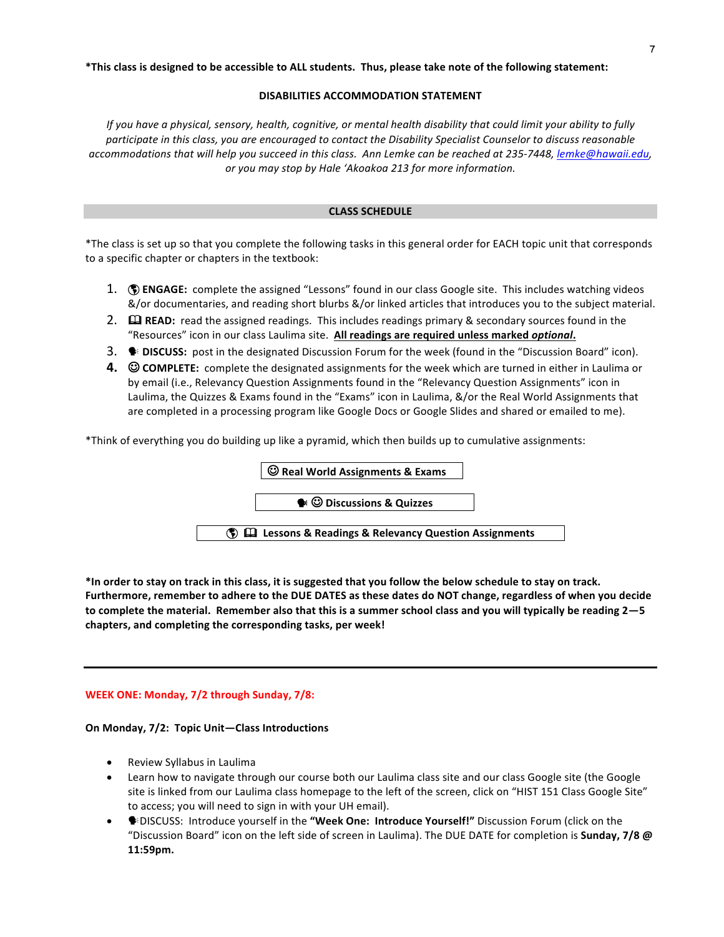#### **\*This class is designed to be accessible to ALL students. Thus, please take note of the following statement:**

#### **DISABILITIES ACCOMMODATION STATEMENT**

*If* you have a physical, sensory, health, cognitive, or mental health disability that could limit your ability to fully participate in this class, you are encouraged to contact the Disability Specialist Counselor to discuss reasonable accommodations that will help you succeed in this class. Ann Lemke can be reached at 235-7448, lemke@hawaii.edu, or you may stop by Hale 'Akoakoa 213 for more information.

#### **CLASS SCHEDULE**

\*The class is set up so that you complete the following tasks in this general order for EACH topic unit that corresponds to a specific chapter or chapters in the textbook:

- 1. **(1) ENGAGE:** complete the assigned "Lessons" found in our class Google site. This includes watching videos &/or documentaries, and reading short blurbs &/or linked articles that introduces you to the subject material.
- 2.  $\Box$  **READ:** read the assigned readings. This includes readings primary & secondary sources found in the "Resources" icon in our class Laulima site. All readings are required unless marked optional.
- 3.  **DISCUSS:** post in the designated Discussion Forum for the week (found in the "Discussion Board" icon).
- **4.**  $\heartsuit$  **COMPLETE:** complete the designated assignments for the week which are turned in either in Laulima or by email (i.e., Relevancy Question Assignments found in the "Relevancy Question Assignments" icon in Laulima, the Quizzes & Exams found in the "Exams" icon in Laulima, &/or the Real World Assignments that are completed in a processing program like Google Docs or Google Slides and shared or emailed to me).

\*Think of everything you do building up like a pyramid, which then builds up to cumulative assignments:



\*In order to stay on track in this class, it is suggested that you follow the below schedule to stay on track. Furthermore, remember to adhere to the DUE DATES as these dates do NOT change, regardless of when you decide to complete the material. Remember also that this is a summer school class and you will typically be reading 2–5 chapters, and completing the corresponding tasks, per week!

#### **WEEK ONE: Monday, 7/2 through Sunday, 7/8:**

#### On Monday, 7/2: Topic Unit-Class Introductions

- Review Syllabus in Laulima
- Learn how to navigate through our course both our Laulima class site and our class Google site (the Google site is linked from our Laulima class homepage to the left of the screen, click on "HIST 151 Class Google Site" to access; you will need to sign in with your UH email).
- **●**BISCUSS: Introduce yourself in the "Week One: Introduce Yourself!" Discussion Forum (click on the "Discussion Board" icon on the left side of screen in Laulima). The DUE DATE for completion is **Sunday, 7/8** @ **11:59pm.**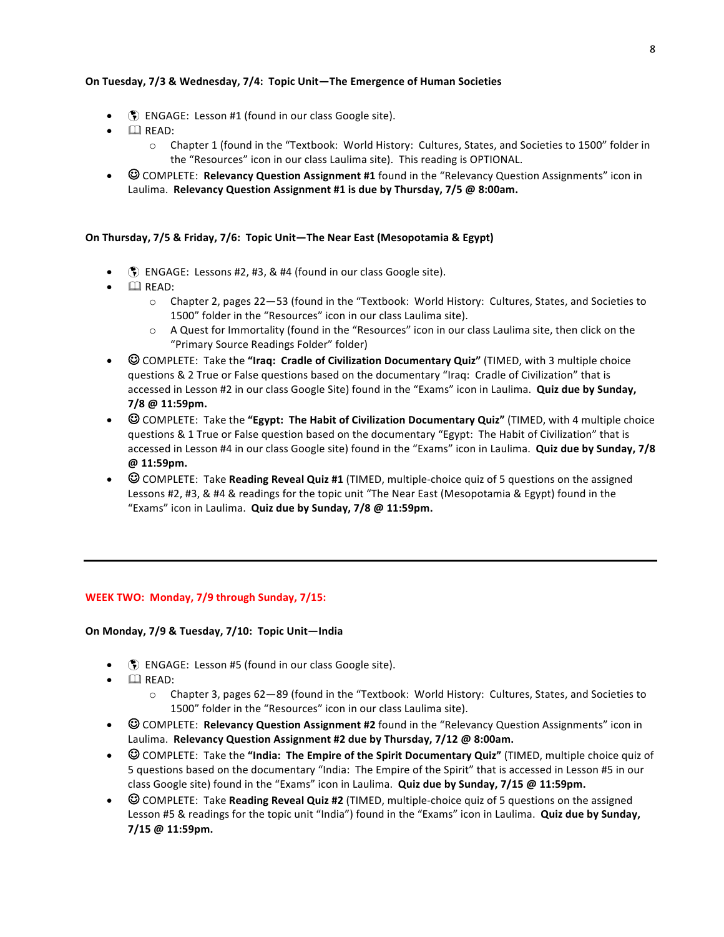# **On Tuesday, 7/3 & Wednesday, 7/4: Topic Unit—The Emergence of Human Societies**

- $\circ$  ENGAGE: Lesson #1 (found in our class Google site).
- $\bullet$   $\Box$  READ:
	- $\circ$  Chapter 1 (found in the "Textbook: World History: Cultures, States, and Societies to 1500" folder in the "Resources" icon in our class Laulima site). This reading is OPTIONAL.
- $\odot$  COMPLETE: **Relevancy Question Assignment #1** found in the "Relevancy Question Assignments" icon in Laulima. Relevancy Question Assignment #1 is due by Thursday, 7/5 @ 8:00am.

# On Thursday, 7/5 & Friday, 7/6: Topic Unit-The Near East (Mesopotamia & Egypt)

- $\circled{S}$  ENGAGE: Lessons #2, #3, & #4 (found in our class Google site).
- $\Box$  READ:
	- $\circ$  Chapter 2, pages 22–53 (found in the "Textbook: World History: Cultures, States, and Societies to 1500" folder in the "Resources" icon in our class Laulima site).
	- $\circ$  A Quest for Immortality (found in the "Resources" icon in our class Laulima site, then click on the "Primary Source Readings Folder" folder)
- © COMPLETE: Take the "Iraq: Cradle of Civilization Documentary Quiz" (TIMED, with 3 multiple choice questions & 2 True or False questions based on the documentary "Iraq: Cradle of Civilization" that is accessed in Lesson #2 in our class Google Site) found in the "Exams" icon in Laulima. **Quiz due by Sunday, 7/8 @ 11:59pm.**
- $\heartsuit$  COMPLETE: Take the "**Egypt: The Habit of Civilization Documentary Quiz**" (TIMED, with 4 multiple choice questions & 1 True or False question based on the documentary "Egypt: The Habit of Civilization" that is accessed in Lesson #4 in our class Google site) found in the "Exams" icon in Laulima. **Quiz due by Sunday, 7/8 @ 11:59pm.**
- © COMPLETE: Take **Reading Reveal Quiz #1** (TIMED, multiple-choice quiz of 5 questions on the assigned Lessons #2, #3, & #4 & readings for the topic unit "The Near East (Mesopotamia & Egypt) found in the "Exams" icon in Laulima. **Quiz due by Sunday, 7/8 @ 11:59pm.**

# **WEEK TWO: Monday, 7/9 through Sunday, 7/15:**

# On Monday, 7/9 & Tuesday, 7/10: Topic Unit-India

- $\Diamond$  ENGAGE: Lesson #5 (found in our class Google site).
- $\Box$  READ:
	- $\circ$  Chapter 3, pages 62–89 (found in the "Textbook: World History: Cultures, States, and Societies to 1500" folder in the "Resources" icon in our class Laulima site).
- $\odot$  COMPLETE: **Relevancy Question Assignment #2** found in the "Relevancy Question Assignments" icon in Laulima. Relevancy Question Assignment #2 due by Thursday, 7/12 @ 8:00am.
- © COMPLETE: Take the "India: The Empire of the Spirit Documentary Quiz" (TIMED, multiple choice quiz of 5 questions based on the documentary "India: The Empire of the Spirit" that is accessed in Lesson #5 in our class Google site) found in the "Exams" icon in Laulima. Quiz due by Sunday, 7/15 @ 11:59pm.
- $\odot$  COMPLETE: Take **Reading Reveal Quiz #2** (TIMED, multiple-choice quiz of 5 questions on the assigned Lesson #5 & readings for the topic unit "India") found in the "Exams" icon in Laulima. **Quiz due by Sunday, 7/15 @ 11:59pm.**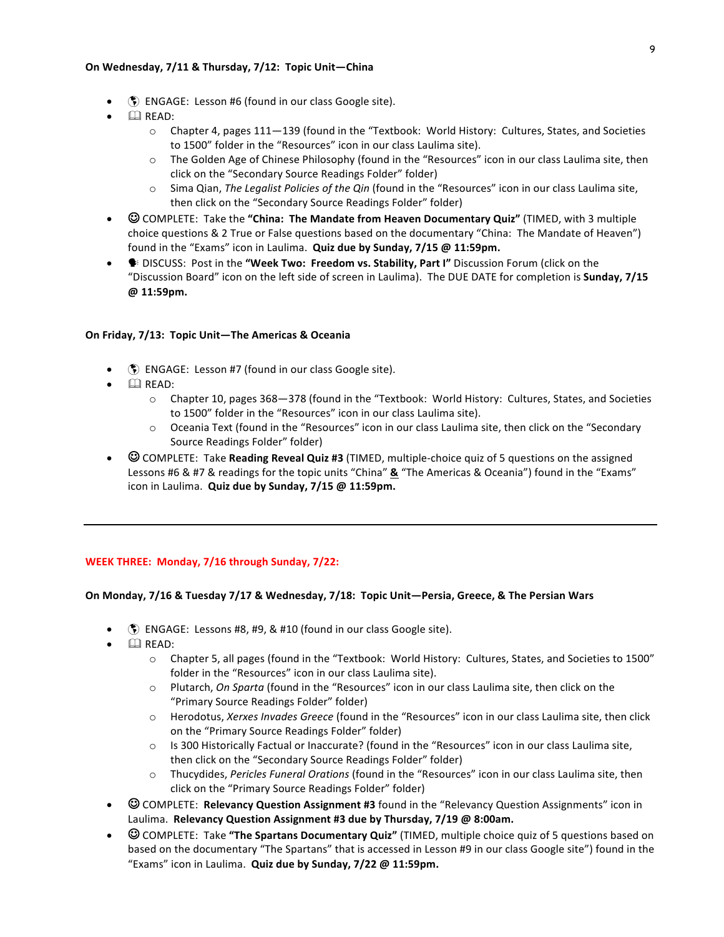#### On Wednesday, 7/11 & Thursday, 7/12: Topic Unit-China

- **(5)** ENGAGE: Lesson #6 (found in our class Google site).
- $\mathbb{Q}$  READ:
	- $\circ$  Chapter 4, pages 111–139 (found in the "Textbook: World History: Cultures, States, and Societies to 1500" folder in the "Resources" icon in our class Laulima site).
	- $\circ$  The Golden Age of Chinese Philosophy (found in the "Resources" icon in our class Laulima site, then click on the "Secondary Source Readings Folder" folder)
	- o Sima Qian, The Legalist Policies of the Qin (found in the "Resources" icon in our class Laulima site, then click on the "Secondary Source Readings Folder" folder)
- $\heartsuit$  COMPLETE: Take the "**China: The Mandate from Heaven Documentary Quiz**" (TIMED, with 3 multiple choice questions & 2 True or False questions based on the documentary "China: The Mandate of Heaven") found in the "Exams" icon in Laulima. Quiz due by Sunday, 7/15 @ 11:59pm.
- **●** DISCUSS: Post in the "Week Two: Freedom vs. Stability, Part I" Discussion Forum (click on the "Discussion Board" icon on the left side of screen in Laulima). The DUE DATE for completion is **Sunday, 7/15 @ 11:59pm.**

#### On Friday, 7/13: Topic Unit-The Americas & Oceania

- $\Diamond$  ENGAGE: Lesson #7 (found in our class Google site).
- $\mathbb{Q}$  READ:
	- $\circ$  Chapter 10, pages 368-378 (found in the "Textbook: World History: Cultures, States, and Societies to 1500" folder in the "Resources" icon in our class Laulima site).
	- $\circ$  Oceania Text (found in the "Resources" icon in our class Laulima site, then click on the "Secondary Source Readings Folder" folder)
- © COMPLETE: Take **Reading Reveal Quiz #3** (TIMED, multiple-choice quiz of 5 questions on the assigned Lessons #6 & #7 & readings for the topic units "China" **&** "The Americas & Oceania") found in the "Exams" icon in Laulima. Quiz due by Sunday, 7/15 @ 11:59pm.

# **WEEK THREE: Monday, 7/16 through Sunday, 7/22:**

#### On Monday, 7/16 & Tuesday 7/17 & Wednesday, 7/18: Topic Unit—Persia, Greece, & The Persian Wars

- $\bullet$  ENGAGE: Lessons #8, #9, & #10 (found in our class Google site).
- $\bullet$   $\Box$  READ:
	- $\circ$  Chapter 5, all pages (found in the "Textbook: World History: Cultures, States, and Societies to 1500" folder in the "Resources" icon in our class Laulima site).
	- $\circ$  Plutarch, On Sparta (found in the "Resources" icon in our class Laulima site, then click on the "Primary Source Readings Folder" folder)
	- o Herodotus, Xerxes Invades Greece (found in the "Resources" icon in our class Laulima site, then click on the "Primary Source Readings Folder" folder)
	- $\circ$  Is 300 Historically Factual or Inaccurate? (found in the "Resources" icon in our class Laulima site, then click on the "Secondary Source Readings Folder" folder)
	- o Thucydides, Pericles Funeral Orations (found in the "Resources" icon in our class Laulima site, then click on the "Primary Source Readings Folder" folder)
- © COMPLETE: **Relevancy Question Assignment #3** found in the "Relevancy Question Assignments" icon in Laulima. Relevancy Question Assignment #3 due by Thursday, 7/19 @ 8:00am.
- $\heartsuit$  COMPLETE: Take "The Spartans Documentary Quiz" (TIMED, multiple choice quiz of 5 questions based on based on the documentary "The Spartans" that is accessed in Lesson #9 in our class Google site") found in the "Exams" icon in Laulima. Quiz due by Sunday, 7/22 @ 11:59pm.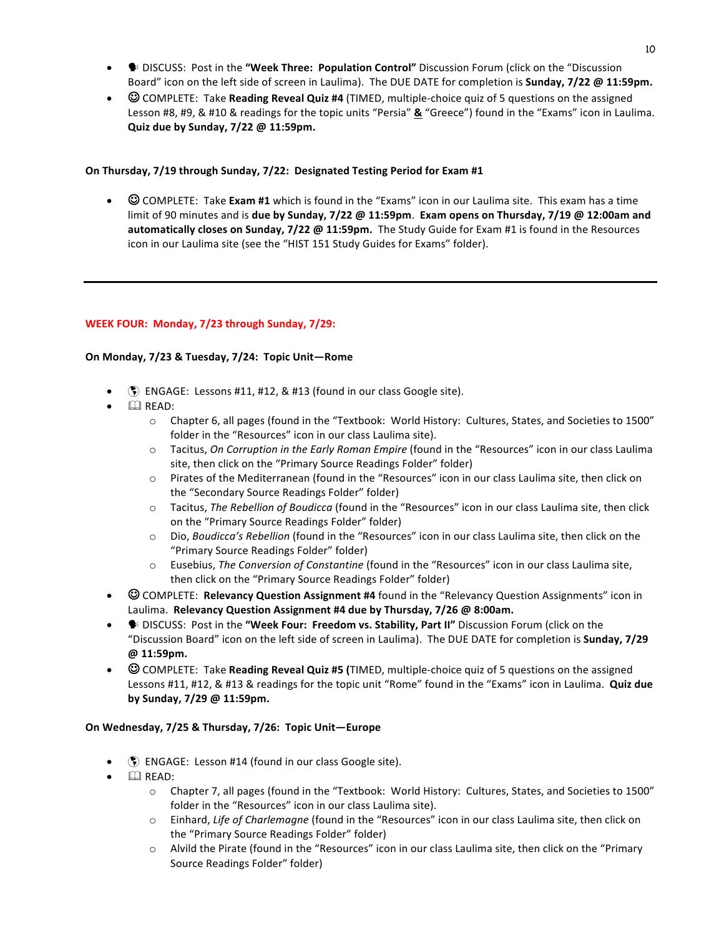- **SAUPIS EXTER:** Post in the **"Week Three: Population Control"** Discussion Forum (click on the "Discussion Board" icon on the left side of screen in Laulima). The DUE DATE for completion is **Sunday, 7/22 @ 11:59pm.**
- © COMPLETE: Take **Reading Reveal Quiz #4** (TIMED, multiple-choice quiz of 5 questions on the assigned Lesson #8, #9, & #10 & readings for the topic units "Persia" & "Greece") found in the "Exams" icon in Laulima. **Quiz due by Sunday, 7/22 @ 11:59pm.**

# **On Thursday, 7/19 through Sunday, 7/22: Designated Testing Period for Exam #1**

•  $\odot$  COMPLETE: Take Exam #1 which is found in the "Exams" icon in our Laulima site. This exam has a time limit of 90 minutes and is **due by Sunday, 7/22** @ 11:59pm. Exam opens on Thursday, 7/19 @ 12:00am and **automatically closes on Sunday, 7/22 @ 11:59pm.** The Study Guide for Exam #1 is found in the Resources icon in our Laulima site (see the "HIST 151 Study Guides for Exams" folder).

# WEEK FOUR: Monday, 7/23 through Sunday, 7/29:

# On Monday, 7/23 & Tuesday, 7/24: Topic Unit-Rome

- $\circ$  ENGAGE: Lessons #11, #12, & #13 (found in our class Google site).
- $\bullet$   $\Box$  READ:
	- $\circ$  Chapter 6, all pages (found in the "Textbook: World History: Cultures, States, and Societies to 1500" folder in the "Resources" icon in our class Laulima site).
	- o Tacitus, *On Corruption in the Early Roman Empire* (found in the "Resources" icon in our class Laulima site, then click on the "Primary Source Readings Folder" folder)
	- $\circ$  Pirates of the Mediterranean (found in the "Resources" icon in our class Laulima site, then click on the "Secondary Source Readings Folder" folder)
	- o Tacitus, *The Rebellion of Boudicca* (found in the "Resources" icon in our class Laulima site, then click on the "Primary Source Readings Folder" folder)
	- Dio, *Boudicca's Rebellion* (found in the "Resources" icon in our class Laulima site, then click on the "Primary Source Readings Folder" folder)
	- o Eusebius, *The Conversion of Constantine* (found in the "Resources" icon in our class Laulima site, then click on the "Primary Source Readings Folder" folder)
- COMPLETE: **Relevancy Question Assignment #4** found in the "Relevancy Question Assignments" icon in Laulima. Relevancy Question Assignment #4 due by Thursday, 7/26 @ 8:00am.
- <sup>●</sup> DISCUSS: Post in the "Week Four: Freedom vs. Stability, Part II" Discussion Forum (click on the "Discussion Board" icon on the left side of screen in Laulima). The DUE DATE for completion is **Sunday, 7/29 @ 11:59pm.**
- $\odot$  COMPLETE: Take **Reading Reveal Quiz #5** (TIMED, multiple-choice quiz of 5 questions on the assigned Lessons #11, #12, & #13 & readings for the topic unit "Rome" found in the "Exams" icon in Laulima. **Quiz due by Sunday, 7/29 @ 11:59pm.**

# On Wednesday, 7/25 & Thursday, 7/26: Topic Unit-Europe

- **(5)** ENGAGE: Lesson #14 (found in our class Google site).
- $\bullet$   $\Box$  READ:
	- $\circ$  Chapter 7, all pages (found in the "Textbook: World History: Cultures, States, and Societies to 1500" folder in the "Resources" icon in our class Laulima site).
	- o Einhard, Life of Charlemagne (found in the "Resources" icon in our class Laulima site, then click on the "Primary Source Readings Folder" folder)
	- $\circ$  Alvild the Pirate (found in the "Resources" icon in our class Laulima site, then click on the "Primary Source Readings Folder" folder)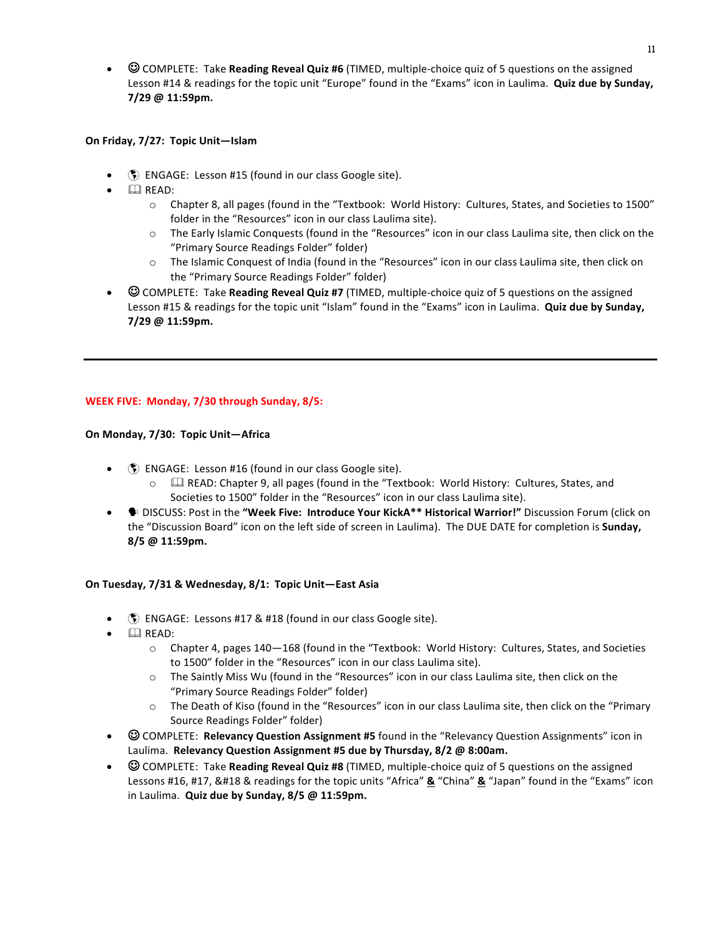•  $\odot$  COMPLETE: Take **Reading Reveal Quiz #6** (TIMED, multiple-choice quiz of 5 questions on the assigned Lesson #14 & readings for the topic unit "Europe" found in the "Exams" icon in Laulima. **Quiz due by Sunday, 7/29 @ 11:59pm.**

#### On Friday, 7/27: Topic Unit-Islam

- **(5)** ENGAGE: Lesson #15 (found in our class Google site).
- $\mathbb{Q}$  READ:
	- $\circ$  Chapter 8, all pages (found in the "Textbook: World History: Cultures, States, and Societies to 1500" folder in the "Resources" icon in our class Laulima site).
	- $\circ$  The Early Islamic Conquests (found in the "Resources" icon in our class Laulima site, then click on the "Primary Source Readings Folder" folder)
	- $\circ$  The Islamic Conquest of India (found in the "Resources" icon in our class Laulima site, then click on the "Primary Source Readings Folder" folder)
- © COMPLETE: Take **Reading Reveal Quiz #7** (TIMED, multiple-choice quiz of 5 questions on the assigned Lesson #15 & readings for the topic unit "Islam" found in the "Exams" icon in Laulima. **Quiz due by Sunday, 7/29 @ 11:59pm.**

# **WEEK FIVE: Monday, 7/30 through Sunday, 8/5:**

# **On Monday, 7/30: Topic Unit—Africa**

- $\langle \hat{\xi} \rangle$  ENGAGE: Lesson #16 (found in our class Google site).
	- $\circ$   $\Box$  READ: Chapter 9, all pages (found in the "Textbook: World History: Cultures, States, and Societies to 1500" folder in the "Resources" icon in our class Laulima site).
- <sup>●</sup> DISCUSS: Post in the "Week Five: Introduce Your KickA\*\* Historical Warrior!" Discussion Forum (click on the "Discussion Board" icon on the left side of screen in Laulima). The DUE DATE for completion is **Sunday, 8/5 @ 11:59pm.**

# **On Tuesday, 7/31 & Wednesday, 8/1: Topic Unit—East Asia**

- **(5)** ENGAGE: Lessons #17 & #18 (found in our class Google site).
- $\Box$  READ:
	- $\circ$  Chapter 4, pages 140–168 (found in the "Textbook: World History: Cultures, States, and Societies to 1500" folder in the "Resources" icon in our class Laulima site).
	- $\circ$  The Saintly Miss Wu (found in the "Resources" icon in our class Laulima site, then click on the "Primary Source Readings Folder" folder)
	- $\circ$  The Death of Kiso (found in the "Resources" icon in our class Laulima site, then click on the "Primary Source Readings Folder" folder)
- © COMPLETE: **Relevancy Question Assignment #5** found in the "Relevancy Question Assignments" icon in Laulima. Relevancy Question Assignment #5 due by Thursday, 8/2 @ 8:00am.
- © COMPLETE: Take **Reading Reveal Quiz #8** (TIMED, multiple-choice quiz of 5 questions on the assigned Lessons #16, #17, &#18 & readings for the topic units "Africa" **&** "China" **&** "Japan" found in the "Exams" icon in Laulima. Quiz due by Sunday, 8/5 @ 11:59pm.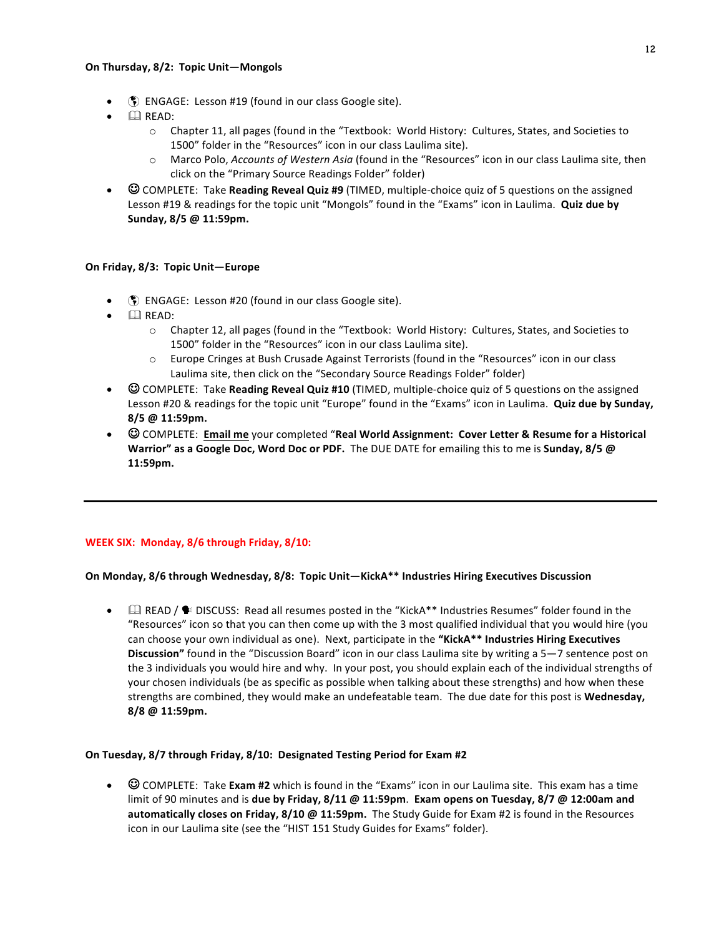#### **On Thursday, 8/2: Topic Unit—Mongols**

- $\bullet$  ENGAGE: Lesson #19 (found in our class Google site).
- $\Box$  READ:
	- $\circ$  Chapter 11, all pages (found in the "Textbook: World History: Cultures, States, and Societies to 1500" folder in the "Resources" icon in our class Laulima site).
	- o Marco Polo, *Accounts of Western Asia* (found in the "Resources" icon in our class Laulima site, then click on the "Primary Source Readings Folder" folder)
- **COMPLETE:** Take Reading Reveal Quiz #9 (TIMED, multiple-choice quiz of 5 questions on the assigned Lesson #19 & readings for the topic unit "Mongols" found in the "Exams" icon in Laulima. **Quiz due by Sunday, 8/5 @ 11:59pm.**

# On Friday, 8/3: Topic Unit-Europe

- $\binom{2}{3}$  ENGAGE: Lesson #20 (found in our class Google site).
- $\mathbb{Q}$  READ:
	- o Chapter 12, all pages (found in the "Textbook: World History: Cultures, States, and Societies to 1500" folder in the "Resources" icon in our class Laulima site).
	- $\circ$  Europe Cringes at Bush Crusade Against Terrorists (found in the "Resources" icon in our class Laulima site, then click on the "Secondary Source Readings Folder" folder)
- © COMPLETE: Take **Reading Reveal Quiz #10** (TIMED, multiple-choice quiz of 5 questions on the assigned Lesson #20 & readings for the topic unit "Europe" found in the "Exams" icon in Laulima. **Quiz due by Sunday, 8/5 @ 11:59pm.**
- © COMPLETE: **Email me** your completed "Real World Assignment: Cover Letter & Resume for a Historical **Warrior"** as a Google Doc, Word Doc or PDF. The DUE DATE for emailing this to me is Sunday, 8/5 @ **11:59pm.**

# **WEEK SIX: Monday, 8/6 through Friday, 8/10:**

# On Monday, 8/6 through Wednesday, 8/8: Topic Unit—KickA\*\* Industries Hiring Executives Discussion

 $\Box$  READ /  $\blacklozenge$  DISCUSS: Read all resumes posted in the "KickA\*\* Industries Resumes" folder found in the "Resources" icon so that you can then come up with the 3 most qualified individual that you would hire (you can choose your own individual as one). Next, participate in the "KickA\*\* Industries Hiring Executives **Discussion"** found in the "Discussion Board" icon in our class Laulima site by writing a 5–7 sentence post on the 3 individuals you would hire and why. In your post, you should explain each of the individual strengths of your chosen individuals (be as specific as possible when talking about these strengths) and how when these strengths are combined, they would make an undefeatable team. The due date for this post is Wednesday, **8/8 @ 11:59pm.**

# **On Tuesday, 8/7 through Friday, 8/10: Designated Testing Period for Exam #2**

 $\odot$  COMPLETE: Take Exam #2 which is found in the "Exams" icon in our Laulima site. This exam has a time limit of 90 minutes and is **due by Friday, 8/11 @ 11:59pm. Exam opens on Tuesday, 8/7 @ 12:00am and automatically closes on Friday, 8/10 @ 11:59pm. The Study Guide for Exam #2 is found in the Resources** icon in our Laulima site (see the "HIST 151 Study Guides for Exams" folder).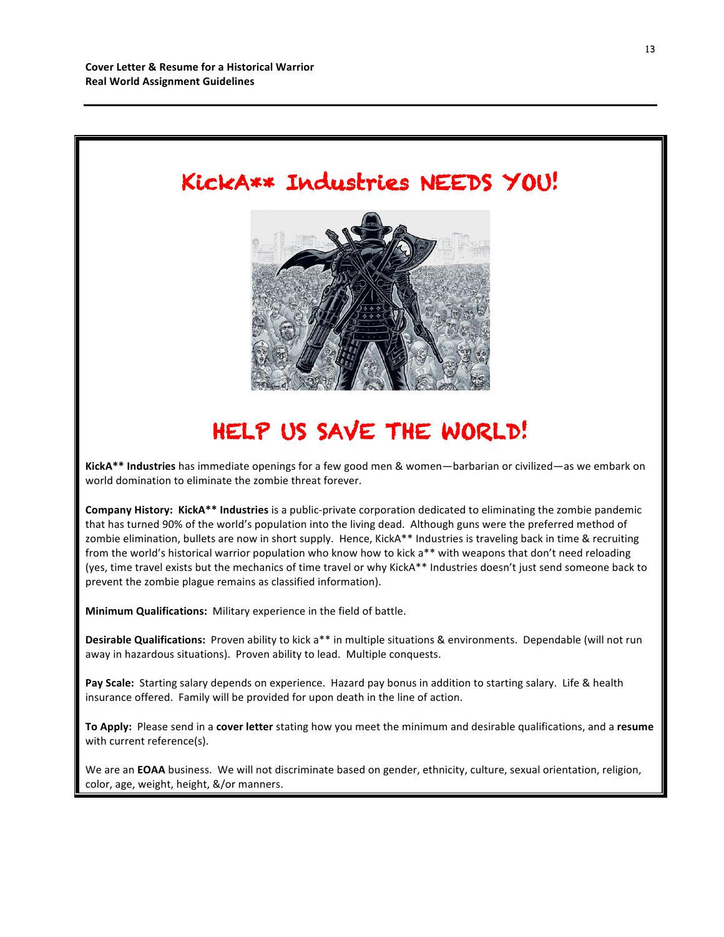

# HELP US SAVE THE WORLD!

KickA\*\* Industries has immediate openings for a few good men & women—barbarian or civilized—as we embark on world domination to eliminate the zombie threat forever.

**Company History: KickA\*\* Industries** is a public-private corporation dedicated to eliminating the zombie pandemic that has turned 90% of the world's population into the living dead. Although guns were the preferred method of zombie elimination, bullets are now in short supply. Hence, KickA\*\* Industries is traveling back in time & recruiting from the world's historical warrior population who know how to kick a\*\* with weapons that don't need reloading (yes, time travel exists but the mechanics of time travel or why KickA\*\* Industries doesn't just send someone back to prevent the zombie plague remains as classified information).

**Minimum Qualifications:** Military experience in the field of battle.

**Desirable Qualifications:** Proven ability to kick a<sup>\*\*</sup> in multiple situations & environments. Dependable (will not run away in hazardous situations). Proven ability to lead. Multiple conquests.

Pay Scale: Starting salary depends on experience. Hazard pay bonus in addition to starting salary. Life & health insurance offered. Family will be provided for upon death in the line of action.

To Apply: Please send in a cover letter stating how you meet the minimum and desirable qualifications, and a resume with current reference(s).

We are an **EOAA** business. We will not discriminate based on gender, ethnicity, culture, sexual orientation, religion, color, age, weight, height, &/or manners.